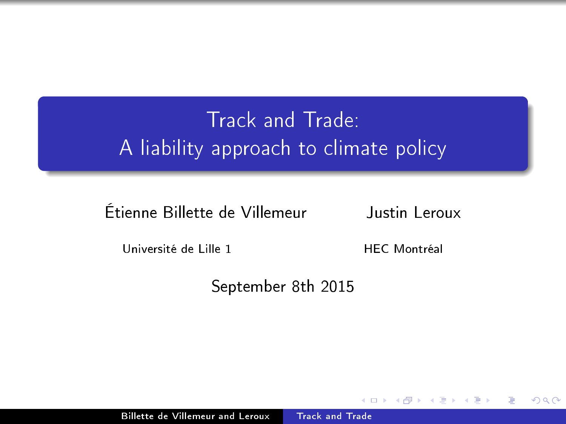# <span id="page-0-0"></span>Track and Trade: A liability approach to climate policy

Étienne Billette de Villemeur Justin Leroux

 $200$ 

Université de Lille 1 d'any 11 d'Alexandre HEC Montréal

September 8th 2015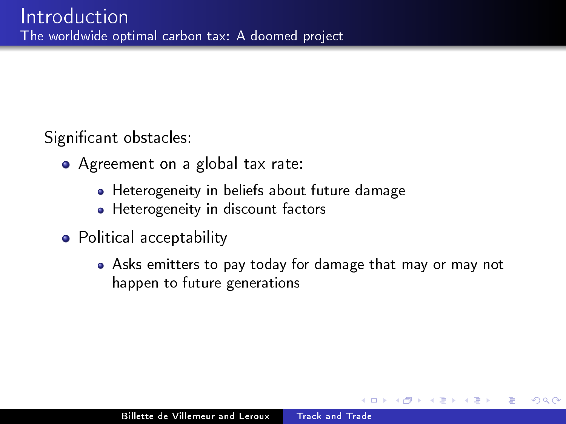<span id="page-1-0"></span>Significant obstacles:

- Agreement on a global tax rate:
	- Heterogeneity in beliefs about future damage
	- Heterogeneity in discount factors
- Political acceptability
	- Asks emitters to pay today for damage that may or may not happen to future generations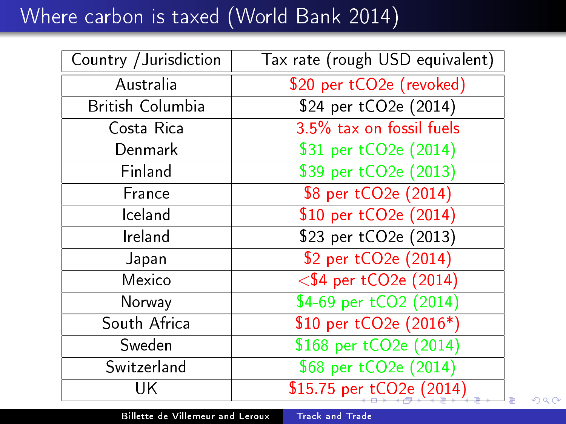## <span id="page-2-0"></span>Where carbon is taxed (World Bank 2014)

| Country / Jurisdiction | Tax rate (rough USD equivalent) |
|------------------------|---------------------------------|
| Australia              | \$20 per tCO2e (revoked)        |
| British Columbia       | \$24 per tCO2e (2014)           |
| Costa Rica             | 3.5% tax on fossil fuels        |
| Denmark                | \$31 per tCO2e (2014)           |
| Finland                | \$39 per tCO2e (2013)           |
| France                 | \$8 per tCO2e (2014)            |
| Iceland                | \$10 per tCO2e (2014)           |
| Ireland                | \$23 per tCO2e (2013)           |
| Japan                  | \$2 per tCO2e (2014)            |
| Mexico                 | $<$ \$4 per tCO2e (2014)        |
| Norway                 | \$4-69 per tCO2 (2014)          |
| South Africa           | \$10 per tCO2e (2016*)          |
| Sweden                 | \$168 per tCO2e (2014)          |
| Switzerland            | \$68 per tCO2e (2014)           |
| UΚ                     | \$15.75 per tCO2e (2014)        |

Billette de Villemeur and Leroux [Track and Trade](#page-0-0)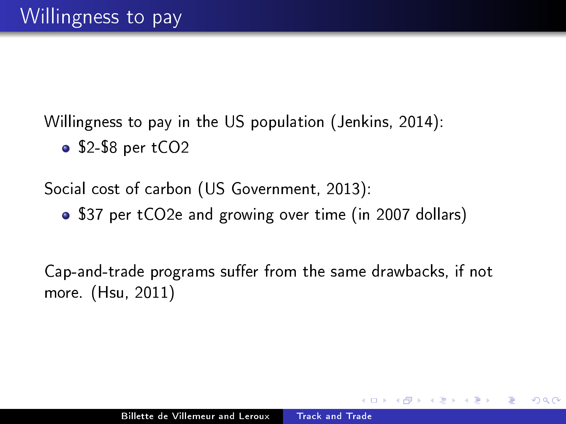<span id="page-3-0"></span>Willingness to pay in the US population (Jenkins, 2014):

 $\bullet$  \$2-\$8 per tCO2

Social cost of carbon (US Government, 2013):

• \$37 per tCO2e and growing over time (in 2007 dollars)

Cap-and-trade programs suffer from the same drawbacks, if not more. (Hsu, 2011)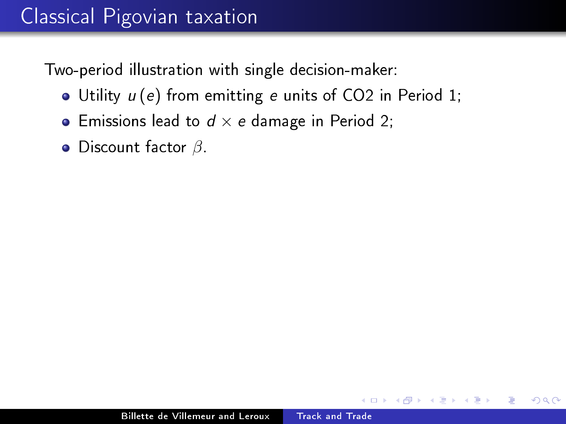## Classical Pigovian taxation

Two-period illustration with single decision-maker:

- $\bullet$  Utility  $u(e)$  from emitting e units of CO2 in Period 1;
- **Emissions lead to**  $d \times e$  **damage in Period 2;**
- $\bullet$  Discount factor  $\beta$ .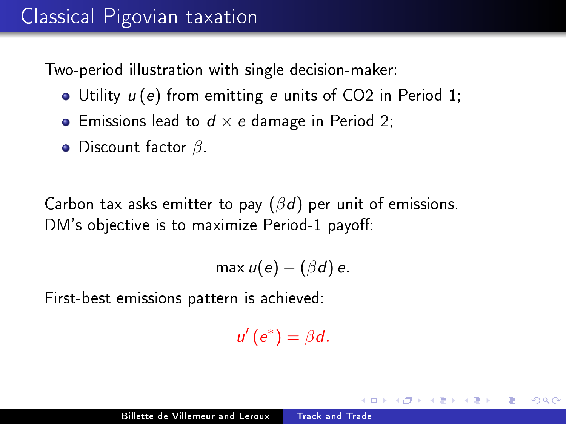## Classical Pigovian taxation

Two-period illustration with single decision-maker:

- $\bullet$  Utility  $u(e)$  from emitting e units of CO2 in Period 1;
- **•** Emissions lead to  $d \times e$  damage in Period 2;
- $\bullet$  Discount factor  $\beta$ .

Carbon tax asks emitter to pay  $(\beta d)$  per unit of emissions. DM's objective is to maximize Period-1 payoff:

$$
\max u(e) - (\beta d) e.
$$

First-best emissions pattern is achieved:

 $u'(e^*) = \beta d.$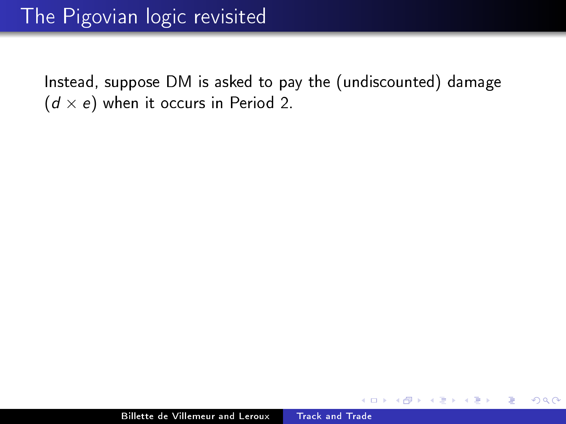Instead, suppose DM is asked to pay the (undiscounted) damage  $(d \times e)$  when it occurs in Period 2.

 $\Omega$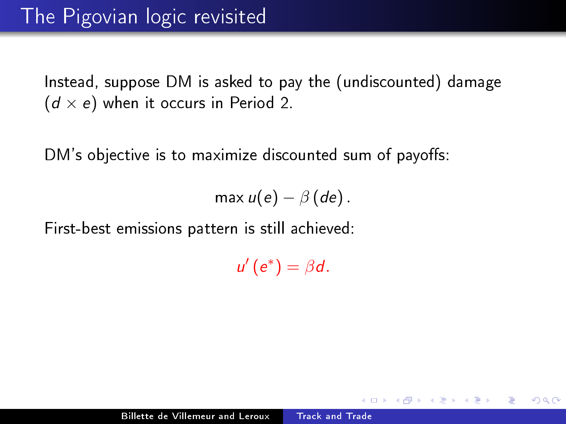Instead, suppose DM is asked to pay the (undiscounted) damage  $(d \times e)$  when it occurs in Period 2.

DM's objective is to maximize discounted sum of payoffs:

max  $u(e) - \beta(de)$ .

First-best emissions pattern is still achieved:

 $u'(e^*) = \beta d.$ 

 $200$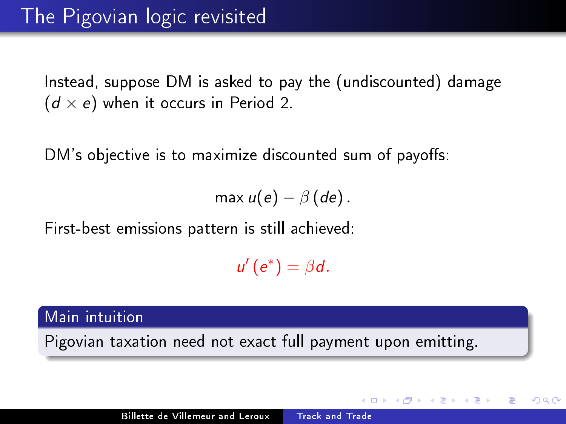Instead, suppose DM is asked to pay the (undiscounted) damage  $(d \times e)$  when it occurs in Period 2.

DM's objective is to maximize discounted sum of payoffs:

max  $u(e) - \beta(de)$ .

First-best emissions pattern is still achieved:

 $u'(e^*) = \beta d.$ 

つくい

Main intuition

Pigovian taxation need not exact full payment upon emitting.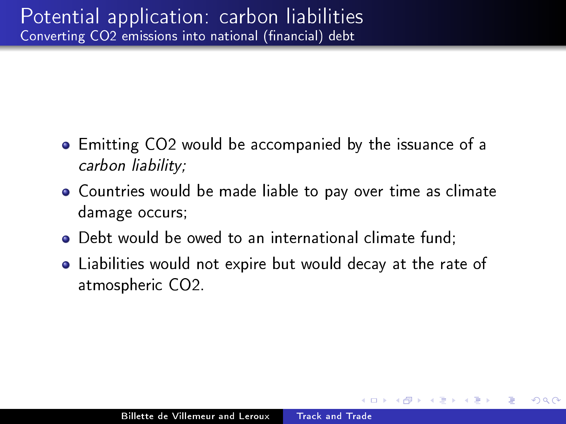- Emitting CO2 would be accompanied by the issuance of a carbon liability;
- Countries would be made liable to pay over time as climate damage occurs;
- Debt would be owed to an international climate fund;
- Liabilities would not expire but would decay at the rate of atmospheric CO2.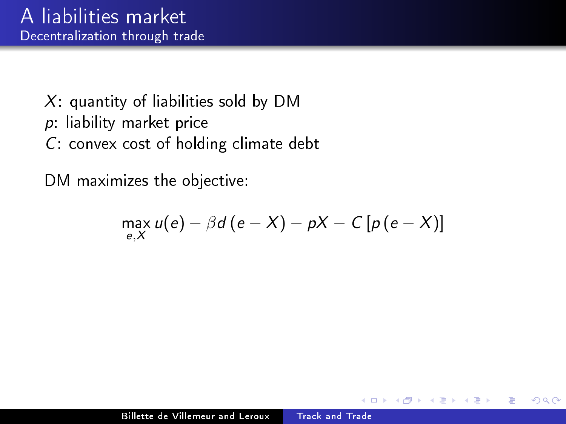$X$ : quantity of liabilities sold by DM p: liability market price C: convex cost of holding climate debt

DM maximizes the objective:

$$
\max_{e,X} u(e) - \beta d(e-X) - pX - C[p(e-X)]
$$

 $200$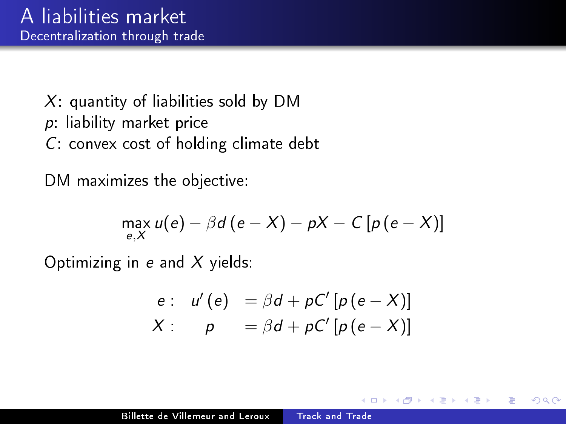$X$ : quantity of liabilities sold by DM p: liability market price C: convex cost of holding climate debt

DM maximizes the objective:

$$
\max_{e,X} u(e) - \beta d(e-X) - pX - C[p(e-X)]
$$

Optimizing in  $e$  and  $X$  yields:

$$
e: u'(e) = \beta d + pC'[p(e-X)]
$$
  

$$
X: p = \beta d + pC'[p(e-X)]
$$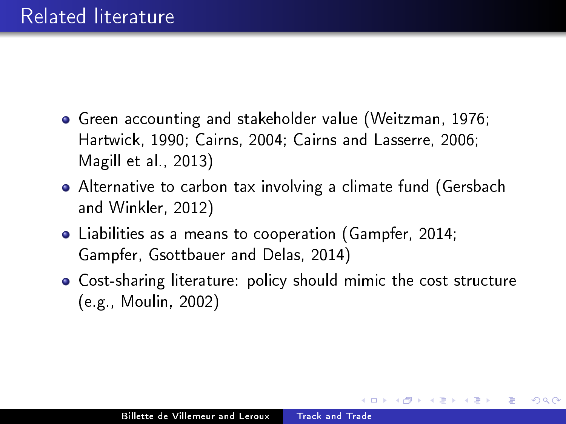- Green accounting and stakeholder value (Weitzman, 1976; Hartwick, 1990; Cairns, 2004; Cairns and Lasserre, 2006; Magill et al., 2013)
- Alternative to carbon tax involving a climate fund (Gersbach and Winkler, 2012)
- Liabilities as a means to cooperation (Gampfer, 2014; Gampfer, Gsottbauer and Delas, 2014)
- Cost-sharing literature: policy should mimic the cost structure (e.g., Moulin, 2002)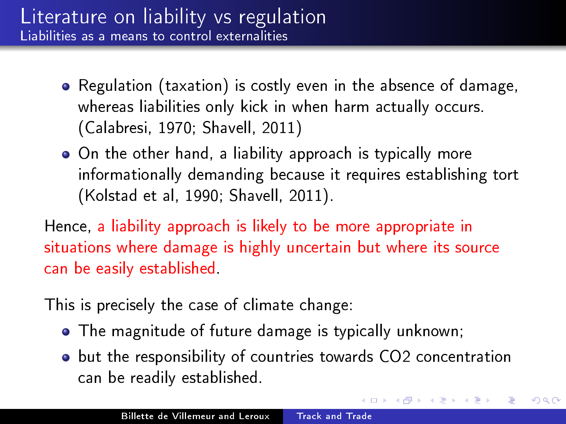- Regulation (taxation) is costly even in the absence of damage, whereas liabilities only kick in when harm actually occurs. (Calabresi, 1970; Shavell, 2011)
- On the other hand, a liability approach is typically more informationally demanding because it requires establishing tort (Kolstad et al, 1990; Shavell, 2011).

Hence, a liability approach is likely to be more appropriate in situations where damage is highly uncertain but where its source can be easily established.

This is precisely the case of climate change:

- The magnitude of future damage is typically unknown;
- but the responsibility of countries towards CO2 concentration can be readily established.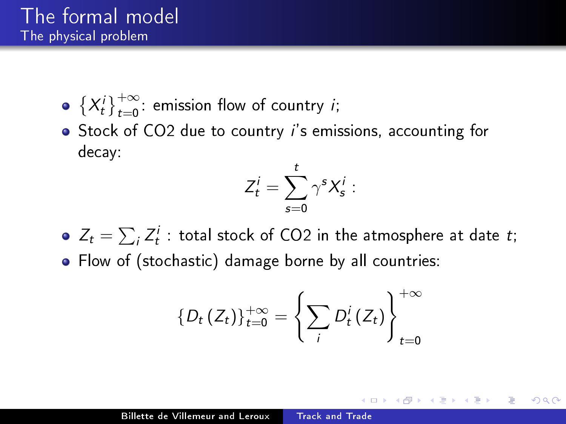- $\left\{X^i_t\right\}_{t=0}^{+\infty}$ : emission flow of country *i*;
- Stock of CO2 due to country i's emissions, accounting for decay:

$$
Z_t^i = \sum_{s=0}^t \gamma^s X_s^i :
$$

 $Z_t = \sum_i Z_t^i$  : total stock of CO2 in the atmosphere at date  $t$ ; Flow of (stochastic) damage borne by all countries:

$$
\left\{D_t(Z_t)\right\}_{t=0}^{+\infty} = \left\{\sum_i D_t^i(Z_t)\right\}_{t=0}^{+\infty}
$$

 $200$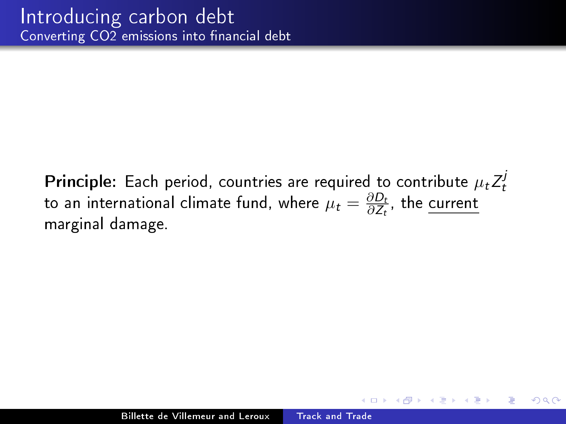**Principle:** Each period, countries are required to contribute  $\mu_t Z_t^j$ to an international climate fund, where  $\mu_t = \frac{\partial D_t}{\partial Z_t}$  $\frac{\partial D_t}{\partial Z_t}$ , the <u>current</u> marginal damage.

 $200$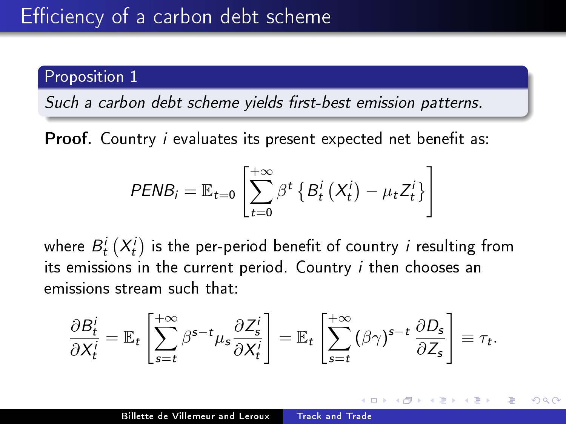#### Proposition 1

Such a carbon debt scheme yields first-best emission patterns.

Proof. Country *i* evaluates its present expected net benefit as:

$$
PENB_i = \mathbb{E}_{t=0} \left[ \sum_{t=0}^{+\infty} \beta^t \left\{ B_t^i \left( X_t^i \right) - \mu_t Z_t^i \right\} \right]
$$

where  $B_t^i\left(X_t^i\right)$  is the per-period benefit of country  $i$  resulting from its emissions in the current period. Country i then chooses an emissions stream such that:

$$
\frac{\partial B_t^i}{\partial X_t^i} = \mathbb{E}_t \left[ \sum_{s=t}^{+\infty} \beta^{s-t} \mu_s \frac{\partial Z_s^i}{\partial X_t^i} \right] = \mathbb{E}_t \left[ \sum_{s=t}^{+\infty} (\beta \gamma)^{s-t} \frac{\partial D_s}{\partial Z_s} \right] \equiv \tau_t.
$$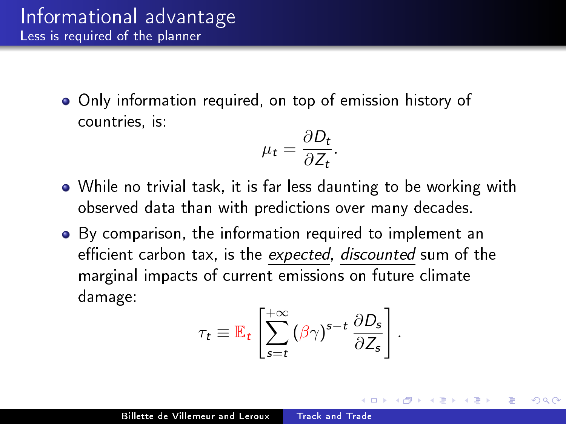Only information required, on top of emission history of countries, is:

$$
\mu_t = \frac{\partial D_t}{\partial Z_t}.
$$

- While no trivial task, it is far less daunting to be working with observed data than with predictions over many decades.
- By comparison, the information required to implement an efficient carbon tax, is the expected, discounted sum of the marginal impacts of current emissions on future climate damage:

$$
\tau_t \equiv \mathbb{E}_t \left[ \sum_{s=t}^{+\infty} (\beta \gamma)^{s-t} \, \frac{\partial D_s}{\partial Z_s} \right].
$$

つくへ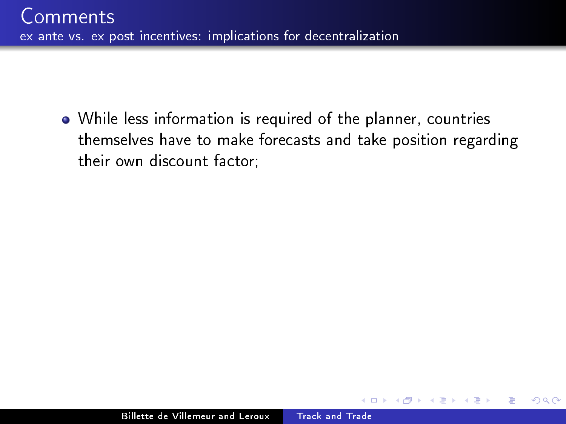While less information is required of the planner, countries themselves have to make forecasts and take position regarding their own discount factor;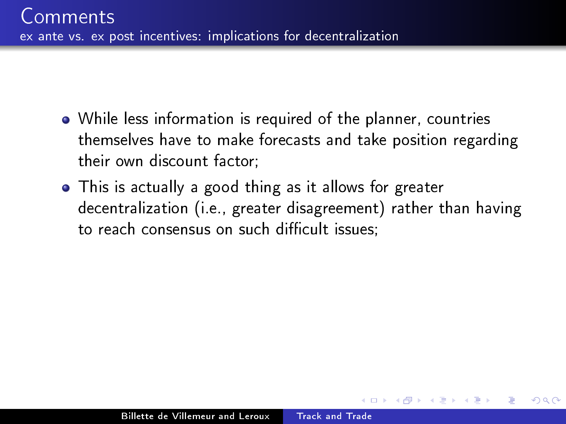- While less information is required of the planner, countries themselves have to make forecasts and take position regarding their own discount factor;
- This is actually a good thing as it allows for greater decentralization (i.e., greater disagreement) rather than having to reach consensus on such difficult issues;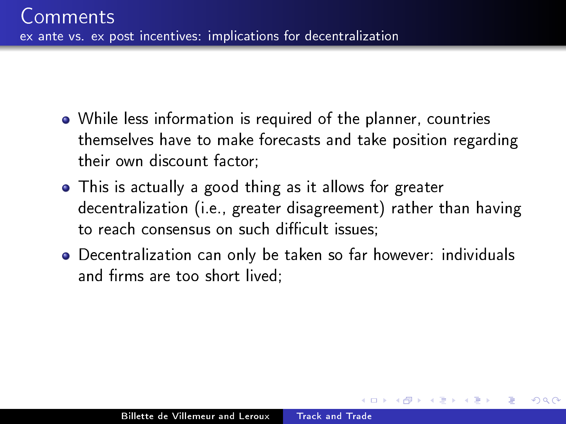- While less information is required of the planner, countries themselves have to make forecasts and take position regarding their own discount factor;
- This is actually a good thing as it allows for greater decentralization (i.e., greater disagreement) rather than having to reach consensus on such difficult issues;
- Decentralization can only be taken so far however: individuals and firms are too short lived;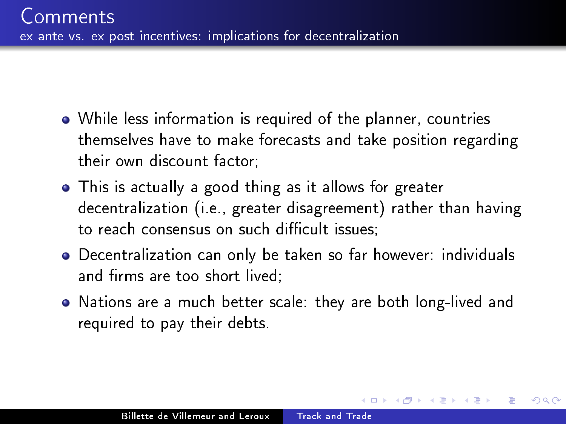- While less information is required of the planner, countries themselves have to make forecasts and take position regarding their own discount factor;
- This is actually a good thing as it allows for greater decentralization (i.e., greater disagreement) rather than having to reach consensus on such difficult issues;
- Decentralization can only be taken so far however: individuals and firms are too short lived;
- Nations are a much better scale: they are both long-lived and required to pay their debts.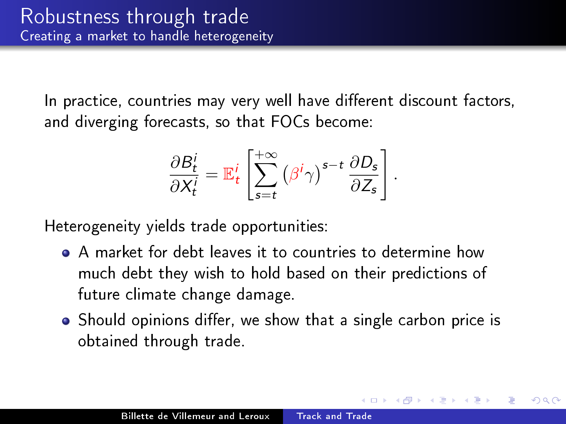In practice, countries may very well have different discount factors, and diverging forecasts, so that FOCs become:

$$
\frac{\partial B_t^i}{\partial X_t^i} = \mathbb{E}_t^i \left[ \sum_{s=t}^{+\infty} \left( \beta^i \gamma \right)^{s-t} \frac{\partial D_s}{\partial Z_s} \right].
$$

Heterogeneity yields trade opportunities:

- A market for debt leaves it to countries to determine how much debt they wish to hold based on their predictions of future climate change damage.
- Should opinions differ, we show that a single carbon price is obtained through trade.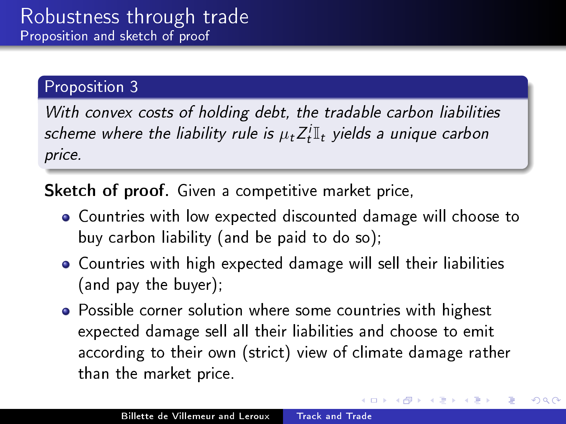### Proposition 3

With convex costs of holding debt, the tradable carbon liabilities scheme where the liability rule is  $\mu_t Z^i_t \mathbb{I}_t$  yields a unique carbon price.

Sketch of proof. Given a competitive market price,

- Countries with low expected discounted damage will choose to buy carbon liability (and be paid to do so);
- Countries with high expected damage will sell their liabilities (and pay the buyer);
- Possible corner solution where some countries with highest expected damage sell all their liabilities and choose to emit according to their own (strict) view of climate damage rather than the market price.

つくへ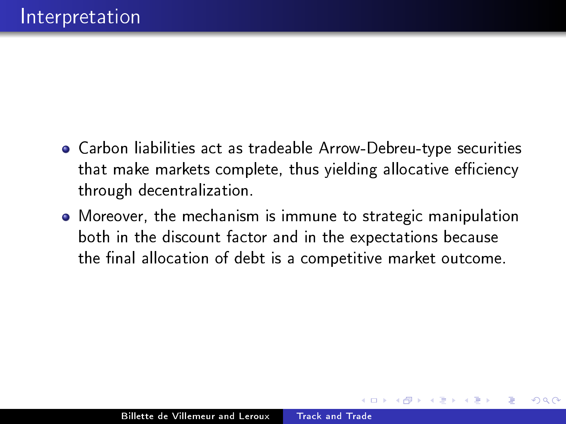- Carbon liabilities act as tradeable Arrow-Debreu-type securities that make markets complete, thus yielding allocative efficiency through decentralization.
- Moreover, the mechanism is immune to strategic manipulation both in the discount factor and in the expectations because the final allocation of debt is a competitive market outcome.

 $\Omega$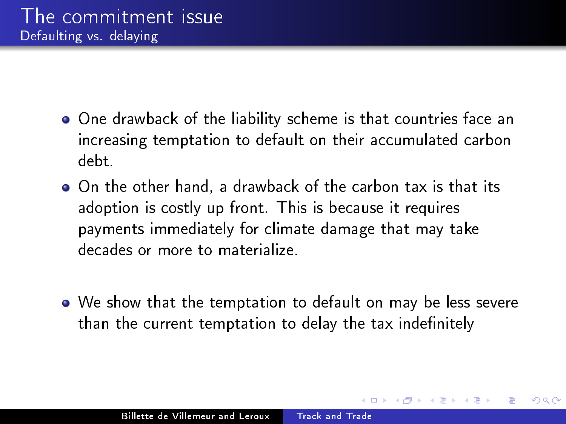- One drawback of the liability scheme is that countries face an increasing temptation to default on their accumulated carbon debt.
- On the other hand, a drawback of the carbon tax is that its adoption is costly up front. This is because it requires payments immediately for climate damage that may take decades or more to materialize.
- We show that the temptation to default on may be less severe than the current temptation to delay the tax indefinitely

ഹൈ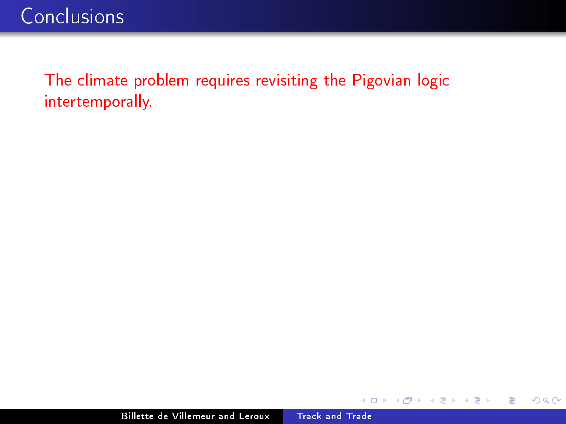The climate problem requires revisiting the Pigovian logic intertemporally.

 $\leftarrow$   $\Box$ 

**Sec.** 

 $299$ 

∍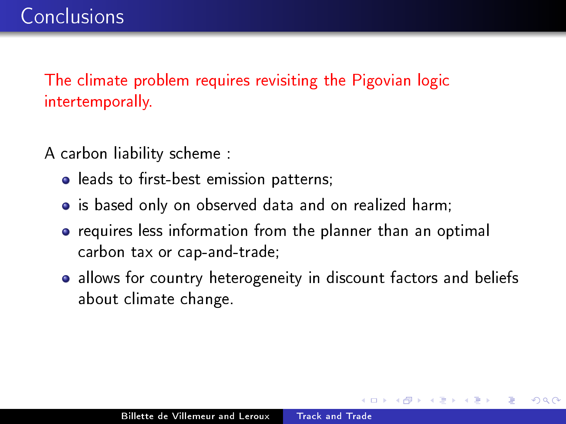The climate problem requires revisiting the Pigovian logic intertemporally.

A carbon liability scheme :

- leads to first-best emission patterns;
- is based only on observed data and on realized harm;
- **•** requires less information from the planner than an optimal carbon tax or cap-and-trade;
- allows for country heterogeneity in discount factors and beliefs about climate change.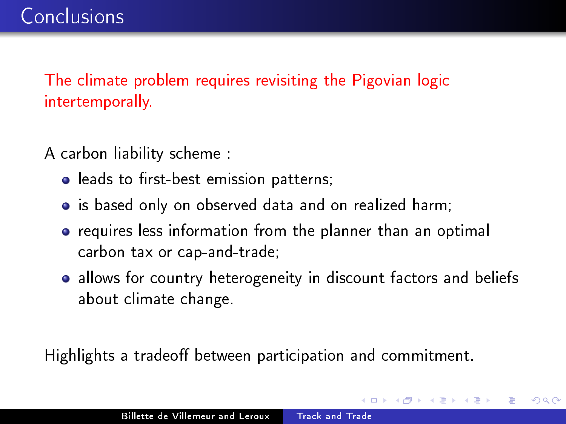The climate problem requires revisiting the Pigovian logic intertemporally.

A carbon liability scheme :

- leads to first-best emission patterns;
- is based only on observed data and on realized harm;
- **•** requires less information from the planner than an optimal carbon tax or cap-and-trade;
- allows for country heterogeneity in discount factors and beliefs about climate change.

つくへ

Highlights a tradeoff between participation and commitment.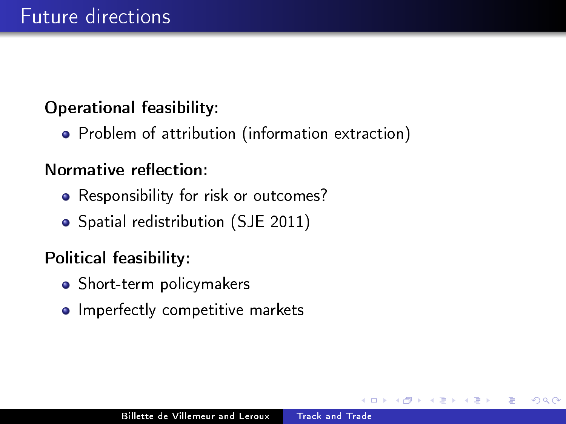## Operational feasibility:

Problem of attribution (information extraction)

## Normative reflection:

- Responsibility for risk or outcomes?
- Spatial redistribution (SJE 2011)

## Political feasibility:

- **•** Short-term policymakers
- Imperfectly competitive markets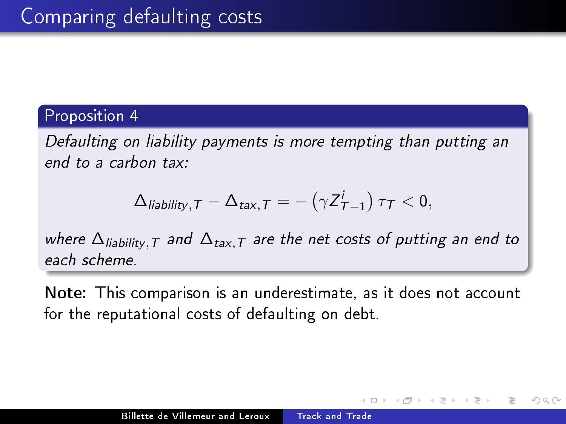#### Proposition 4

Defaulting on liability payments is more tempting than putting an end to a carbon tax:

$$
\Delta_{\text{liability},\mathcal{T}} - \Delta_{\text{tax},\mathcal{T}} = -(\gamma Z_{\mathcal{T}-1}^i) \tau_{\mathcal{T}} < 0,
$$

where  $\Delta_{\text{liability},\mathcal{T}}$  and  $\Delta_{\text{tax},\mathcal{T}}$  are the net costs of putting an end to each scheme.

Note: This comparison is an underestimate, as it does not account for the reputational costs of defaulting on debt.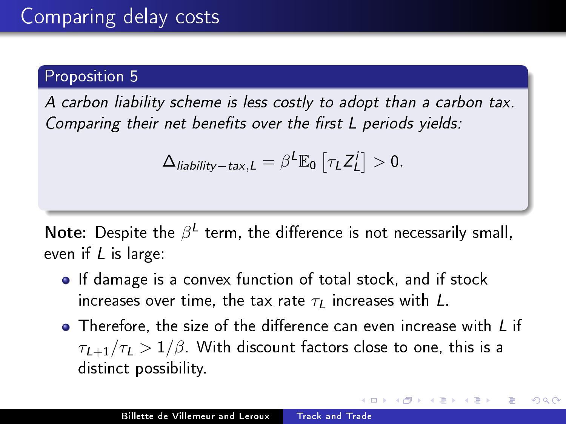### Proposition 5

A carbon liability scheme is less costly to adopt than a carbon tax. Comparing their net benefits over the first  $L$  periods yields:

$$
\Delta_{\text{liability-tax},L} = \beta^L \mathbb{E}_0 \left[ \tau_L Z_L^i \right] > 0.
$$

Note: Despite the  $\beta^L$  term, the difference is not necessarily small, even if L is large:

- If damage is a convex function of total stock, and if stock increases over time, the tax rate  $\tau_L$  increases with L.
- $\bullet$  Therefore, the size of the difference can even increase with L if  $\tau_{L+1}/\tau_L > 1/\beta$ . With discount factors close to one, this is a distinct possibility.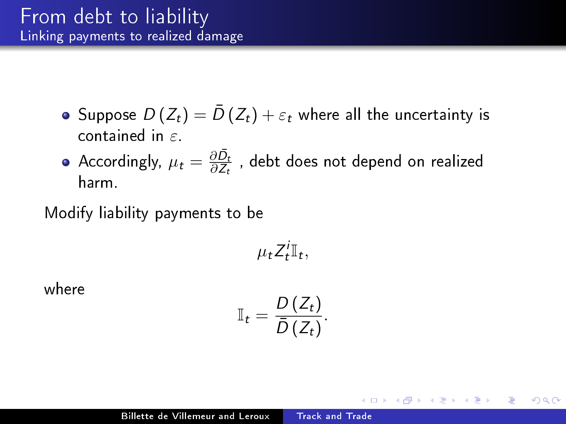- $\bullet$  Suppose  $D(Z_t) = \bar{D}(Z_t) + \varepsilon_t$  where all the uncertainty is contained in  $\varepsilon$ .
- Accordingly,  $\mu_t = \frac{\partial \bar{D_t}}{\partial Z_t}$  $\frac{\partial D_t}{\partial \mathsf{Z}_t}$  , debt does not depend on realized harm.

Modify liability payments to be

$$
\mu_t Z_t^i \mathbb{I}_t,
$$

where

$$
\mathbb{I}_t = \frac{D(Z_t)}{\bar{D}(Z_t)}.
$$

 $200$